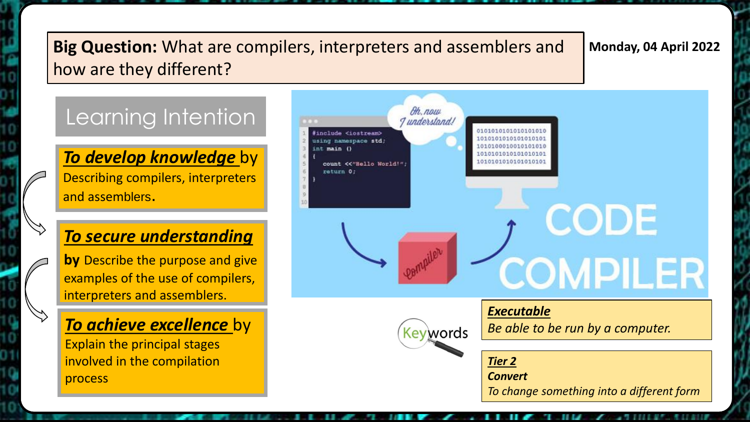### **Big Question:** What are compilers, interpreters and assemblers and | Monday, 04 April 2022 how are they different?

## Learning Intention

*To develop knowledge* by Describing compilers, interpreters and assemblers.

### *To secure understanding*

**by** Describe the purpose and give examples of the use of compilers, interpreters and assemblers.

### *To achieve excellence* by

Explain the principal stages involved in the compilation process

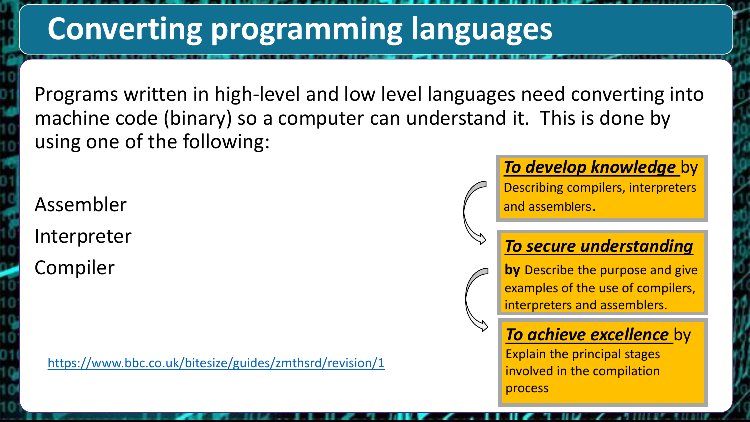# **Converting programming languages**

Programs written in high-level and low level languages need converting into machine code (binary) so a computer can understand it. This is done by using one of the following:

Assembler Interpreter Compiler

<https://www.bbc.co.uk/bitesize/guides/zmthsrd/revision/1>

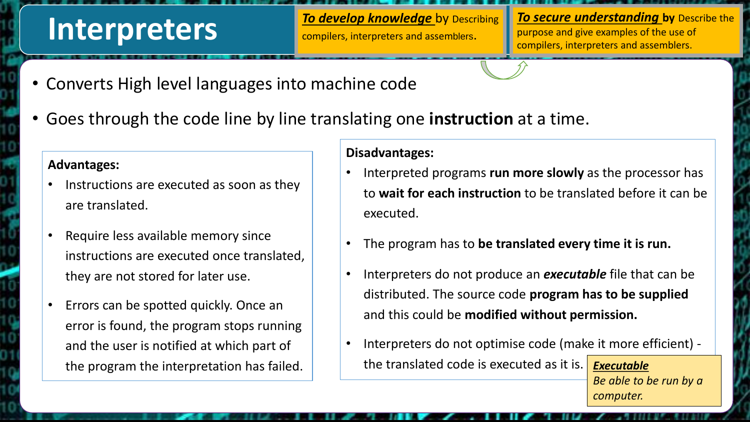# **Interpreters**

*To develop knowledge* by Describing compilers, interpreters and assemblers.

*To secure understanding* by Describe the purpose and give examples of the use of compilers, interpreters and assemblers.

- Converts High level languages into machine code
- Goes through the code line by line translating one **instruction** at a time.

#### **Advantages:**

- Instructions are executed as soon as they are translated.
- Require less available memory since instructions are executed once translated, they are not stored for later use.
- Errors can be spotted quickly. Once an error is found, the program stops running and the user is notified at which part of

#### **Disadvantages:**

- Interpreted programs **run more slowly** as the processor has to **wait for each instruction** to be translated before it can be executed.
- The program has to **be translated every time it is run.**
- Interpreters do not produce an *executable* file that can be distributed. The source code **program has to be supplied**  and this could be **modified without permission.**
- Interpreters do not optimise code (make it more efficient) the translated code is executed as it is. the program the interpretation has failed. **Fig. 1** the translated code is executed as it is. **Executable**

*Be able to be run by a computer.*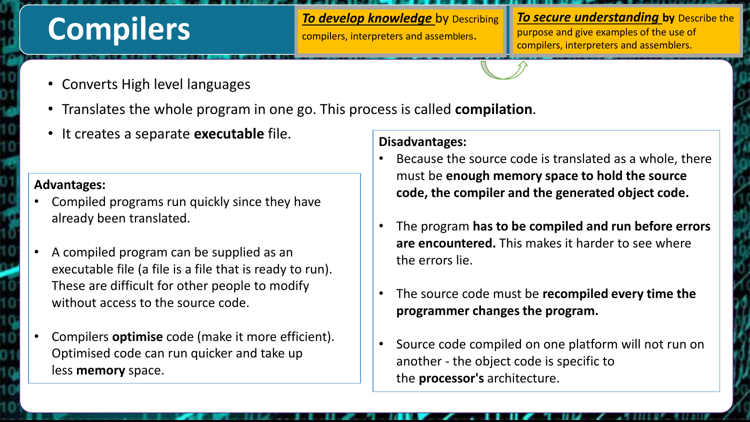# **Compilers**

**To develop knowledge** by Describing compilers, interpreters and assemblers.

*To secure understanding* by Describe the purpose and give examples of the use of compilers, interpreters and assemblers.

- Converts High level languages
- Translates the whole program in one go. This process is called **compilation**.
- It creates a separate **executable** file.

#### **Advantages:**

- Compiled programs run quickly since they have already been translated.
- A compiled program can be supplied as an executable file (a file is a file that is ready to run). These are difficult for other people to modify without access to the source code.
- Compilers **optimise** code (make it more efficient). Optimised code can run quicker and take up less **memory** space.

#### **Disadvantages:**

- Because the source code is translated as a whole, there must be **enough memory space to hold the source code, the compiler and the generated object code.**
- The program **has to be compiled and run before errors are encountered.** This makes it harder to see where the errors lie.
- The source code must be **recompiled every time the programmer changes the program.**
- Source code compiled on one platform will not run on another - the object code is specific to the **processor's** architecture.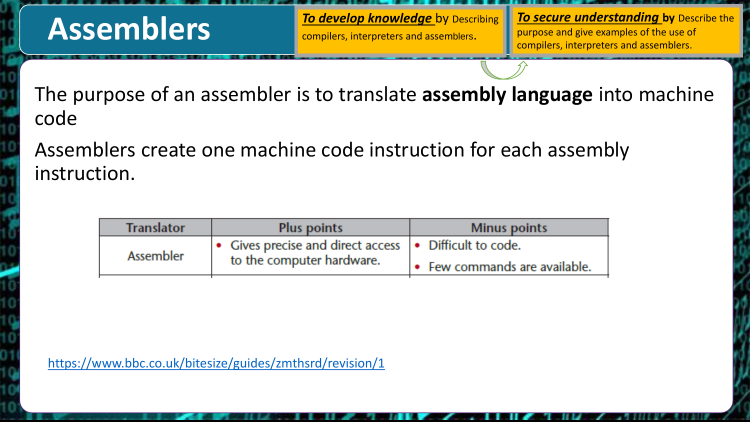# **Assemblers**

*To develop knowledge* by Describing compilers, interpreters and assemblers.

*To secure understanding* by Describe the purpose and give examples of the use of compilers, interpreters and assemblers.

The purpose of an assembler is to translate **assembly language** into machine code

Assemblers create one machine code instruction for each assembly instruction.

| <b>Translator</b> | <b>Plus points</b>                                                                    | <b>Minus points</b>                   |
|-------------------|---------------------------------------------------------------------------------------|---------------------------------------|
| <b>Assembler</b>  | • Gives precise and direct access   • Difficult to code.<br>to the computer hardware. |                                       |
|                   |                                                                                       | $\bullet$ Few commands are available. |

<https://www.bbc.co.uk/bitesize/guides/zmthsrd/revision/1>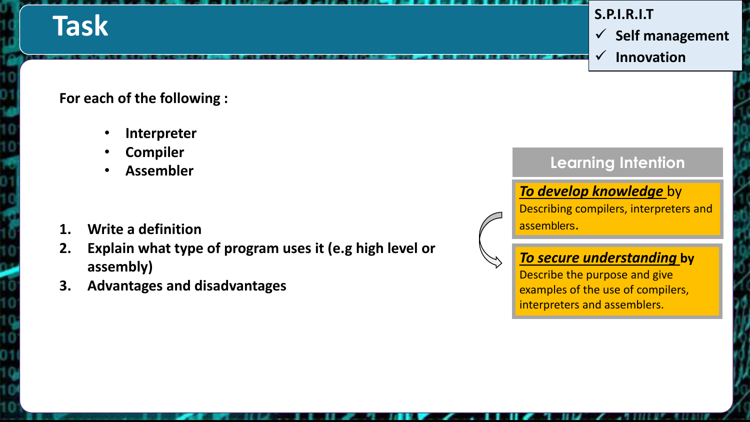# **Task**

#### **S.P.I.R.I.T**

 $\checkmark$  Self management

**Innovation**

#### **For each of the following :**

- **Interpreter**
- **Compiler**
- **Assembler**
- **1. Write a definition**
- **2. Explain what type of program uses it (e.g high level or assembly)**
- **3. Advantages and disadvantages**

### **Learning Intention**

### *To develop knowledge* by

Describing compilers, interpreters and assemblers.

### *To secure understanding* **by**

Describe the purpose and give examples of the use of compilers, interpreters and assemblers.